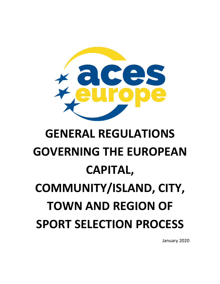

# **GENERAL REGULATIONS GOVERNING THE EUROPEAN CAPITAL, COMMUNITY/ISLAND, CITY, TOWN AND REGION OF SPORT SELECTION PROCESS**

January 2020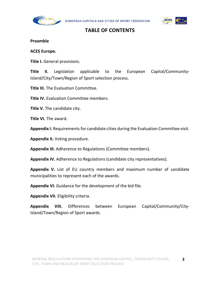



### **TABLE OF CONTENTS**

#### **Preamble**

#### **ACES Europe.**

**Title I.** General provisions.

**Title II.** Legislation applicable to the European Capital/Community-Island/City/Town/Region of Sport selection process.

**Title III.** The Evaluation Committee.

**Title IV.** Evaluation Committee members.

**Title V.** The candidate city.

**Title VI.** The award.

Appendix I. Requirements for candidate cities during the Evaluation Committee visit.

Appendix II. Voting procedure.

Appendix III. Adherence to Regulations (Committee members).

**Appendix IV.** Adherence to Regulations (candidate city representatives).

**Appendix V.** List of EU country members and maximum number of candidate municipalities to represent each of the awards.

Appendix VI. Guidance for the development of the bid file.

**Appendix VII.** Eligibility criteria.

Appendix VIII. Differences between European Capital/Community/City-Island/Town/Region of Sport awards.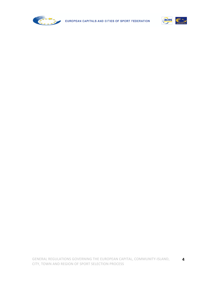



**4**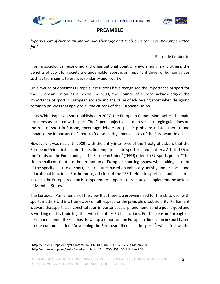EUROPEAN CAPITALS AND CITIES OF SPORT FEDERATION



### **PREAMBLE**

"Sport is part of every man and woman's heritage and its absence can never be compensated *for."*

Pierre de Coubertin

From a sociological, economic and organisational point of view, among many others, the benefits of sport for society are undeniable. Sport is an important driver of human values such as team spirit, tolerance, solidarity and loyalty.

On a myriad of occasions Europe's institutions have recognised the importance of sport for the European Union as a whole. In 2000, the Council of Europe acknowledged the importance of sport in European society and the value of addressing sport when designing common policies that apply to all the citizens of the European Union.

In its White Paper on Sport published in 2007, the European Commission tackles the main problems associated with sport. The Paper's objective is to provide strategic guidelines on the role of sport in Europe, encourage debate on specific problems related thereto and enhance the importance of sport to fuel solidarity among states of the European Union.

However, it was not until 2009, with the entry into force of the Treaty of Lisbon, that the European Union first acquired specific competences in sport-related matters. Article 165 of the Treaty on the Functioning of the European Union<sup>1</sup> (TFEU) refers to EU sports policy: "The Union shall contribute to the promotion of European sporting issues, while taking account of the specific nature of sport, its structures based on voluntary activity and its social and educational function". Furthermore, article 6 of the TFEU refers to sport as a political area in which the European Union is competent to support, coordinate or supplement the actions of Member States.

The European Parliament is of the view that there is a growing need for the EU to deal with sports matters within a framework of full respect for the principle of subsidiarity. Parliament is aware that sport itself constitutes an important social phenomenon and a public good and is working on this topic together with the other EU Institutions. For this reason, through its permanent committees, it has drawn up a report on the European dimension in sport based on the communication "Developing the European dimension in sport"<sup>2</sup>, which follows the

 $\overline{a}$ 

<sup>1</sup> http://eur-lex.europa.eu/legal-content/EN/TXT/PDF/?uri=CELEX:12012E/TXT&from=EN

<sup>2</sup> http://eur-lex.europa.eu/LexUriServ/LexUriServ.do?uri=COM:2011:0012:FIN:en:PDF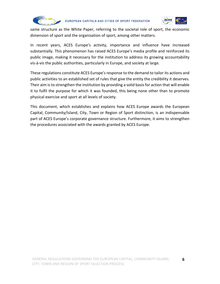



**6**

same structure as the White Paper, referring to the societal role of sport, the economic dimension of sport and the organisation of sport, among other matters.

In recent years, ACES Europe's activity, importance and influence have increased substantially. This phenomenon has raised ACES Europe's media profile and reinforced its public image, making it necessary for the institution to address its growing accountability vis-à-vis the public authorities, particularly in Europe, and society at large.

These regulations constitute ACES Europe's response to the demand to tailor its actions and public activities to an established set of rules that give the entity the credibility it deserves. Their aim is to strengthen the institution by providing a solid basis for action that will enable it to fulfil the purpose for which it was founded, this being none other than to promote physical exercise and sport at all levels of society.

This document, which establishes and explains how ACES Europe awards the European Capital, Community/Island, City, Town or Region of Sport distinction, is an indispensable part of ACES Europe's corporate governance structure. Furthermore, it aims to strengthen the procedures associated with the awards granted by ACES Europe.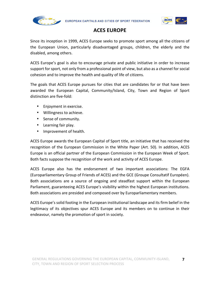



**7**

### **ACES EUROPE**

Since its inception in 1999, ACES Europe seeks to promote sport among all the citizens of the European Union, particularly disadvantaged groups, children, the elderly and the disabled, among others.

ACES Europe's goal is also to encourage private and public initiative in order to increase support for sport, not only from a professional point of view, but also as a channel for social cohesion and to improve the health and quality of life of citizens.

The goals that ACES Europe pursues for cities that are candidates for or that have been awarded the European Capital, Community/Island, City, Town and Region of Sport distinction are five-fold:

- Enjoyment in exercise.
- Willingness to achieve.
- Sense of community.
- Learning fair play.
- Improvement of health.

ACES Europe awards the European Capital of Sport title, an initiative that has received the recognition of the European Commission in the White Paper (Art. 50). In addition, ACES Europe is an official partner of the European Commission in the European Week of Sport. Both facts suppose the recognition of the work and activity of ACES Europe.

ACES Europe also has the endorsement of two important associations: The EGFA (Europarliamentary Group of Friends of ACES) and the GCE (Groupe Consultatif Européen). Both associations are a source of ongoing and steadfast support within the European Parliament, guaranteeing ACES Europe's visibility within the highest European institutions. Both associations are presided and composed over by Europarliamentary members.

ACES Europe's solid footing in the European institutional landscape and its firm belief in the legitimacy of its objectives spur ACES Europe and its members on to continue in their endeavour, namely the promotion of sport in society.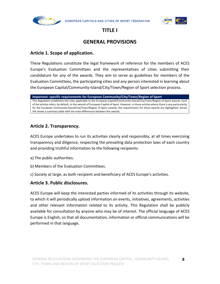



### **TITLE** I

### **GENERAL PROVISIONS**

### Article 1. Scope of application.

These Regulations constitute the legal framework of reference for the members of ACES Europe's Evaluation Committees and the representatives of cities submitting their candidature for any of the awards. They aim to serve as guidelines for members of the Evaluation Committees, the participating cities and any person interested in learning about the European Capital/Community-Island/City/Town/Region of Sport selection process.

**Important: specific requirements for European Community/City/Town/Region of Sport** This Regulation establishes the rules applicable to the European Capital/Community-Island/City/Town/Region of Sport awards. Each of the articles refers, by default, to the awards of European Capital of Sport. However, in those articles where there is any particularity for the European Community-Island/City/Town/Region of Sport awards, the requirements for these awards are highlighted. Annex VIII shows a summary table with the main differences between the awards.

### **Article 2. Transparency.**

ACES Europe undertakes to run its activities clearly and responsibly, at all times exercising transparency and diligence, respecting the prevailing data protection laws of each country and providing truthful information to the following recipients:

- a) The public authorities.
- b) Members of the Evaluation Committees.
- c) Society at large, as both recipient and beneficiary of ACES Europe's activities.

### **Article 3. Public disclosures.**

ACES Europe will keep the interested parties informed of its activities through its website, to which it will periodically upload information on events, initiatives, agreements, activities and other relevant information related to its activity. This Regulation shall be publicly available for consultation by anyone who may be of interest. The official language of ACES Europe is English, so that all documentation, information or official communications will be performed in that language.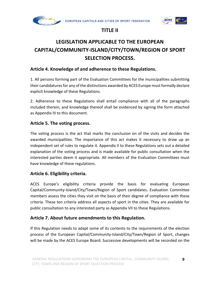





### **TITLE II**

## LEGISLATION APPLICABLE TO THE EUROPEAN **CAPITAL/COMMUNITY-ISLAND/CITY/TOWN/REGION OF SPORT SELECTION PROCESS.**

### Article 4. Knowledge of and adherence to these Regulations.

1. All persons forming part of the Evaluation Committees for the municipalities submitting their candidatures for any of the distinctions awarded by ACES Europe must formally declare explicit knowledge of these Regulations.

2. Adherence to these Regulations shall entail compliance with all of the paragraphs included therein, and knowledge thereof shall be evidenced by signing the form attached as Appendix III to this document.

### Article 5. The voting process.

The voting process is the act that marks the conclusion on of the visits and decides the awarded municipalities. The importance of this act makes it necessary to draw up an independent set of rules to regulate it. Appendix II to these Regulations sets out a detailed explanation of the voting process and is made available for public consultation when the interested parties deem it appropriate. All members of the Evaluation Committees must have knowledge of these regulations.

### **Article 6. Eligibility criteria.**

ACES Europe's eligibility criteria provide the basis for evaluating European Capital/Community-Island/City/Town/Region of Sport candidates. Evaluation Committee members assess the cities they visit on the basis of their degree of compliance with these criteria. These ten criteria address all aspects of sport in the cities. They are available for public consultation to any interested party as Appendix VII to these Regulations.

### Article 7. About future amendments to this Regulation.

If this Regulation needs to adapt some of its contents to the requirements of the election process of the European Capital/Community-Island/City/Town/Region of Sport, changes will be made by the ACES Europe Board. Successive developments will be recorded on the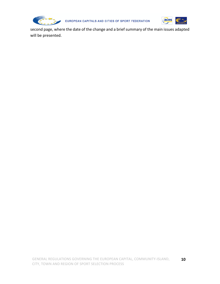



second page, where the date of the change and a brief summary of the main issues adapted will be presented.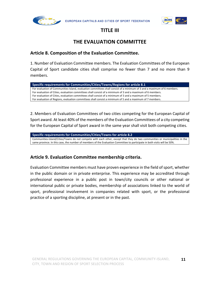



### **TITLE III**

### **THE EVALUATION COMMITTEE**

### Article 8. Composition of the Evaluation Committee.

1. Number of Evaluation Committee members. The Evaluation Committees of the European Capital of Sport candidate cities shall comprise no fewer than 7 and no more than 9 members. 

**Specific requirements for Communities/Cities/Towns/Regions for article 8.1** For evaluation of Communities-Island, evaluation committees shall consist of a minimum of 3 and a maximum of 6 members. For evaluation of Cities, evaluation committees shall consist of a minimum of 3 and a maximum of 6 members. For evaluation of Cities, evaluation committees shall consist of a minimum of 3 and a maximum of 5 members. For evaluation of Regions, evaluation committees shall consist a minimum of 5 and a maximum of 7 members.

2. Members of Evaluation Committees of two cities competing for the European Capital of Sport award. At least 40% of the members of the Evaluation Committees of a city competing for the European Capital of Sport award in the same year shall visit both competing cities.

**Specific requirements for Communities/Cities/Towns for article 8.2** Communities-Island/Cities/Towns do not compete with each other, except that they do two communities or municipalities in the same province. In this case, the number of members of the Evaluation Committee to participate in both visits will be 50%.

### Article 9. Evaluation Committee membership criteria.

Evaluation Committee members must have proven experience in the field of sport, whether in the public domain or in private enterprise. This experience may be accredited through professional experience in a public post in town/city councils or other national or international public or private bodies, membership of associations linked to the world of sport, professional involvement in companies related with sport, or the professional practice of a sporting discipline, at present or in the past.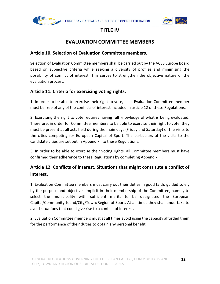EUROPEAN CAPITALS AND CITIES OF SPORT FEDERATION





### **TITLE IV**

### **EVALUATION COMMITTEE MEMBERS**

### Article 10. Selection of Evaluation Committee members.

Selection of Evaluation Committee members shall be carried out by the ACES Europe Board based on subjective criteria while seeking a diversity of profiles and minimizing the possibility of conflict of interest. This serves to strengthen the objective nature of the evaluation process.

### Article 11. Criteria for exercising voting rights.

1. In order to be able to exercise their right to vote, each Evaluation Committee member must be free of any of the conflicts of interest included in article 12 of these Regulations.

2. Exercising the right to vote requires having full knowledge of what is being evaluated. Therefore, in order for Committee members to be able to exercise their right to vote, they must be present at all acts held during the main days (Friday and Saturday) of the visits to the cities competing for European Capital of Sport. The particulars of the visits to the candidate cities are set out in Appendix I to these Regulations.

3. In order to be able to exercise their voting rights, all Committee members must have confirmed their adherence to these Regulations by completing Appendix III.

### Article 12. Conflicts of interest. Situations that might constitute a conflict of **interest.**

1. Evaluation Committee members must carry out their duties in good faith, guided solely by the purpose and objectives implicit in their membership of the Committee, namely to select the municipality with sufficient merits to be designated the European Capital/Community-Island/City/Town/Region of Sport. At all times they shall undertake to avoid situations that could give rise to a conflict of interest.

2. Evaluation Committee members must at all times avoid using the capacity afforded them for the performance of their duties to obtain any personal benefit.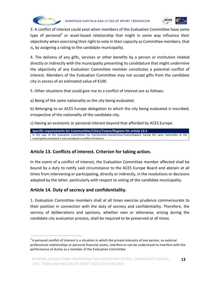



3. A conflict of interest could exist when members of the Evaluation Committee have some type of personal<sup>3</sup> or asset-based relationship that might in some way influence their objectivity when exercising their right to vote in their capacity as Committee members, that is, by assigning a rating to the candidate municipality.

4. The delivery of any gifts, services or other benefits by a person or institution related directly or indirectly with the municipality presenting its candidature that might undermine the objectivity of any Evaluation Committee member constitutes a potential conflict of interest. Members of the Evaluation Committee may not accept gifts from the candidate city in excess of an estimated value of  $£100$ .

5. Other situations that could give rise to a conflict of interest are as follows:

a) Being of the same nationality as the city being evaluated.

b) Belonging to an ACES Europe delegation to which the city being evaluated is inscribed, irrespective of the nationality of the candidate city.

c) Having an economic or personal interest beyond that afforded by ACES Europe.

| <b>Specific requirements for Communities/Cities/Towns/Regions for article 12.5</b>                                      |
|-------------------------------------------------------------------------------------------------------------------------|
| In the case of the Evaluation Committees for Communities-Island/Cities/Towns/Regions having the same nationality as the |
| municipality evaluated is not considered a conflict of interest.                                                        |

### Article 13. Conflicts of interest. Criterion for taking action.

In the event of a conflict of interest, the Evaluation Committee member affected shall be bound by a duty to notify said circumstance to the ACES Europe Board and abstain at all times from intervening or participating, directly or indirectly, in the resolutions or decisions adopted by the latter, particularly with respect to voting of the candidate municipality.

### Article 14. Duty of secrecy and confidentiality.

 $\overline{a}$ 

1. Evaluation Committee members shall at all times exercise prudence commensurate to their position in connection with the duty of secrecy and confidentiality. Therefore, the secrecy of deliberations and opinions, whether own or otherwise, arising during the candidate city evaluation process, shall be required to be preserved at all times.

 $3$  A personal conflict of interest is a situation in which the private interests of one person, as external professional relationships or personal financial assets, interfere or can be understood to interfere with the performance of duties as a member of the Evaluation Committee.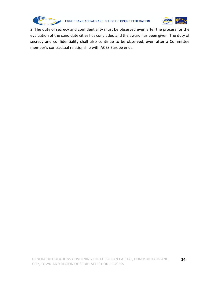

EUROPEAN CAPITALS AND CITIES OF SPORT FEDERATION



2. The duty of secrecy and confidentiality must be observed even after the process for the evaluation of the candidate cities has concluded and the award has been given. The duty of secrecy and confidentiality shall also continue to be observed, even after a Committee member's contractual relationship with ACES Europe ends.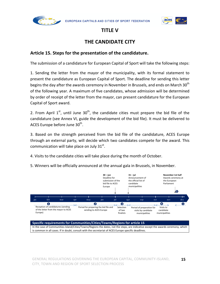



### **TITLE V**

### **THE CANDIDATE CITY**

### Article 15. Steps for the presentation of the candidature.

The submission of a candidature for European Capital of Sport will take the following steps:

1. Sending the letter from the mayor of the municipality, with its formal statement to present the candidature as European Capital of Sport. The deadline for sending this letter begins the day after the awards ceremony in November in Brussels, and ends on March  $30<sup>th</sup>$ of the following year. A maximum of five candidates, whose admission will be determined by order of receipt of the letter from the mayor, can present candidature for the European Capital of Sport award.

2. From April  $1^{st}$ , until June  $30^{th}$ , the candidate cities must prepare the bid file of the candidature (see Annex VI, guide the development of the bid file). It must be delivered to ACES Europe before June  $30<sup>th</sup>$ .

3. Based on the strength perceived from the bid file of the candidature, ACES Europe through an external party, will decide which two candidates compete for the award. This communication will take place on July  $31<sup>st</sup>$ .

- 4. Visits to the candidate cities will take place during the month of October.
- 5. Winners will be officially announced at the annual gala in Brussels, in November.

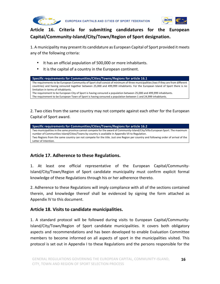



### Article 16. Criteria for submitting candidatures for the European Capital/Community-Island/City/Town/Region of Sport designation.

1. A municipality may present its candidature as European Capital of Sport provided it meets any of the following criteria:

- It has an official population of 500,000 or more inhabitants.
- It is the capital of a country in the European continent.

| Specific requirements for Communities/Cities/Towns/Regions for article 16.1                                                         |
|-------------------------------------------------------------------------------------------------------------------------------------|
| The requirements to be European Community of Sport shall consist of minimum of three municipalities (two if they are from different |
| countries) and having censured together between 25,000 and 499,999 inhabitants. For the European Island of Sport there is no        |
| limitation in terms of inhabitants.                                                                                                 |
| The requirement to be European City of Sport is having censured a population between 25,000 and 499,999 inhabitants.                |

The requirement to be European Town of Sport is having censured a population between 1 and 24,999 inhabitants.

#### 2. Two cities from the same country may not compete against each other for the European Capital of Sport award.

| Specific requirements for Communities/Cities/Towns/Regions for article 16.2                                                        |
|------------------------------------------------------------------------------------------------------------------------------------|
| Two municipalities in the same province cannot compete for the award of Community-Island/City/Villa European Sport. The maximum    |
| number of Communities-Island/Cities/Towns by country is available in Appendix VII to Regulation.                                   |
| Two Regions from the same country can not compete for the title. Just one Region per country and following order of arrival of the |
| Letter of Intention.                                                                                                               |

### Article 17. Adherence to these Regulations.

1. At least one official representative of the European Capital/Community-Island/City/Town/Region of Sport candidate municipality must confirm explicit formal knowledge of these Regulations through his or her adherence thereto.

2. Adherence to these Regulations will imply compliance with all of the sections contained therein, and knowledge thereof shall be evidenced by signing the form attached as Appendix IV to this document.

### Article 18. Visits to candidate municipalities.

1. A standard protocol will be followed during visits to European Capital/Community-Island/City/Town/Region of Sport candidate municipalities. It covers both obligatory aspects and recommendations and has been developed to enable Evaluation Committee members to become informed on all aspects of sport in the municipalities visited. This protocol is set out in Appendix I to these Regulations and the persons responsible for the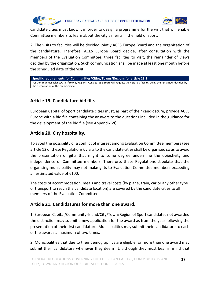



candidate cities must know it in order to design a programme for the visit that will enable Committee members to learn about the city's merits in the field of sport.

2. The visits to facilities will be decided jointly ACES Europe Board and the organization of the candidature. Therefore, ACES Europe Board decide, after consultation with the members of the Evaluation Committee, three facilities to visit, the remainder of views decided by the organization. Such communication shall be made at least one month before the scheduled date of the visit.

**Specific requirements for Communities/Cities/Towns/Regions for article 18.2** For Communities-Island/Cities/Towns/Regions, ACES Europe Board will request the visit to a facility, being the remainder decided by the organization of the municipality.

### Article 19. Candidature bid file.

European Capital of Sport candidate cities must, as part of their candidature, provide ACES Europe with a bid file containing the answers to the questions included in the guidance for the development of the bid file (see Appendix VI).

### Article 20. City hospitality.

To avoid the possibility of a conflict of interest among Evaluation Committee members (see article 12 of these Regulations), visits to the candidate cities shall be organised so as to avoid the presentation of gifts that might to some degree undermine the objectivity and independence of Committee members. Therefore, these Regulations stipulate that the organising municipality may not make gifts to Evaluation Committee members exceeding an estimated value of €100.

The costs of accommodation, meals and travel costs (by plane, train, car or any other type of transport to reach the candidate location) are covered by the candidate cities to all members of the Evaluation Committee.

### Article 21. Candidatures for more than one award.

1. European Capital/Community-Island/City/Town/Region of Sport candidates not awarded the distinction may submit a new application for the award as from the year following the presentation of their first candidature. Municipalities may submit their candidature to each of the awards a maximum of two times.

2. Municipalities that due to their demographics are eligible for more than one award may submit their candidature whenever they deem fit, although they must bear in mind that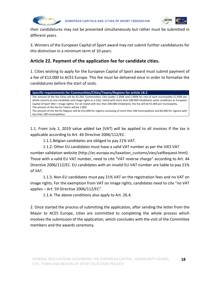



their candidatures may not be presented simultaneously but rather must be submitted in different years.

3. Winners of the European Capital of Sport award may not submit further candidatures for this distinction in a minimum term of 10 years.

### Article 22. Payment of the application fee for candidate cities.

1. Cities wishing to apply for the European Capital of Sport award must submit payment of a fee of €12.000 to ACES Europe. This fee must be delivered once in order to formalize the candidatures before the start of visits.

| Specific requirements for Communities/Cities/Towns/Regions for article 18.2                                                                              |
|----------------------------------------------------------------------------------------------------------------------------------------------------------|
| The amount of the fee Cities will be €2.350. Communities: City Leader 1.350€ and 1.000€ for rest of each municipality (2.350€ per                        |
| whole country as one candidate and image rights as a City). Island with more than 500,000 inhabitants same conditions as European                        |
| Capital of Sport (fee + image rights). For an Island with less than 500.000 inhabitants, the fee will be $\epsilon$ 1.000 per municipality.              |
| The amount of the fee for Towns will be 1.000.                                                                                                           |
| The amount of the fee for Regions will be $\epsilon$ 12,000 for regions consisting of more than 100 municipalities and $\epsilon$ 6,000 for regions with |
| less than 100 municipalities.                                                                                                                            |

1.1. From July 1, 2019 value added tax (VAT) will be applied to all invoices if the tax is applicable according to Art. 44 Directive 2006/112/EC.

1.1.1.Belgian candidates are obliged to pay 21% VAT.

1.1.2. Other EU candidates must have a valid VAT number as per the VIES VAT number validation website (http://ec.europa.eu/taxation\_customs/vies/vatRequest.html) Those with a valid EU VAT number, need to cite "VAT reverse charge" according to Art. 44 Directive 2006/112/EC. EU candidates with an invalid EU VAT number are liable to pay 21% of VAT.

1.1.3. Non-EU candidates must pay 21% VAT on the registration fees and no VAT on image rights. For the exemption from VAT on image rights, candidates need to cite "no VAT applies  $-$  Art. 59 Directive 2006/112/EC".

1.1.4. The above conditions also apply to Art. 26.4.

2. Once started the process of submitting the application, after sending the letter from the Mayor to ACES Europe, cities are committed to completing the whole process which involves the submission of the application, which concludes with the visit of the Committee members and the awards ceremony.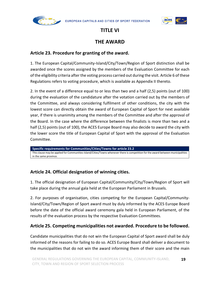



### **TITLE VI**

### **THE AWARD**

### Article 23. Procedure for granting of the award.

1. The European Capital/Community-Island/City/Town/Region of Sport distinction shall be awarded once the scores assigned by the members of the Evaluation Committee for each of the eligibility criteria after the voting process carried out during the visit. Article 6 of these Regulations refers to voting procedure, which is available as Appendix II thereto.

2. In the event of a difference equal to or less than two and a half  $(2,5)$  points (out of 100) during the evaluation of the candidature after the votation carried out by the members of the Committee, and always considering fulfilment of other conditions, the city with the lowest score can directly obtain the award of European Capital of Sport for next available year, if there is unanimity among the members of the Committee and after the approval of the Board. In the case where the difference between the finalists is more than two and a half (2,5) points (out of 100), the ACES Europe Board may also decide to award the city with the lower score the title of European Capital of Sport with the approval of the Evaluation Committee.

**Specific requirements for Communities/Cities/Towns for article 23.2** This clause may be applied for Communities-Island/Cities/Towns whenever there is competition for the award between municipalities in the same province.

### Article 24. Official designation of winning cities.

1. The official designation of European Capital/Community/City/Town/Region of Sport will take place during the annual gala held at the European Parliament in Brussels.

2. For purposes of organisation, cities competing for the European Capital/Community-Island/City/Town/Region of Sport award must by duly informed by the ACES Europe Board before the date of the official award ceremony gala held in European Parliament, of the results of the evaluation process by the respective Evaluation Committees.

### Article 25. Competing municipalities not awarded. Procedure to be followed.

Candidate municipalities that do not win the European Capital of Sport award shall be duly informed of the reasons for failing to do so. ACES Europe Board shall deliver a document to the municipalities that do not win the award informing them of their score and the main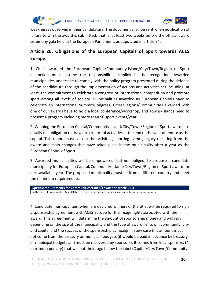



weaknesses observed in their candidature. The document shall be sent when notification of failure to win the award is submitted, that is, at least two weeks before the official award ceremony gala held at the European Parliament, as stipulated in article 24.

### Article 26. Obligations of the European Capitals of Sport towards ACES **Europe.**

1. Cities awarded the European Capital/Community-Island/City/Town/Region of Sport distinction must assume the responsibilities implicit in the recognition. Awarded municipalities undertake to comply with the policy program presented during the defense of the candidature through the implementation of actions and activities set including, at least, the commitment to celebrate a congress or international competition and promote sport among all levels of society. Municipalities awarded as European Capitals have to celebrate an International Summit/Congress, Cities/Regions/Communities awarded with one of our awards have to hold a local conference/workshop, and Towns/Islands need to present a program including more than 50 sport events/year.

2. Winning the European Capital/Community-Island/City/Town/Region of Sport award also entails the obligation to draw up a report of activities at the end of the year of tenure as the capital. This report must set out the activities, sporting events, legacy resulting from the award and main changes that have taken place in the municipality after a year as the European Capital of Sport. 

3. Awarded municipalities will be empowered, but not obliged, to propose a candidate municipality for European Capital/Community-Island/City/Town/Region of Sport award for next available year. The proposed municipality must be from a different country and meet the minimum requirements.

**Specific requirements for Communities/Cities/Towns for article 26.3** In the case of Communities-Island/Cities/Towns, the proposed municipality can be from the same country.

4. Candidate municipalities, when are declared winners of the title, will be required to sign a sponsorship agreement with ACES Europe for the image rights associated with the award. This agreement will determine the amount of sponsorship money and will vary depending on the size of the municipality and the type of award i.e. town, community, city and capital and the success of the sponsorship campaign. In any case this amount must not come from the treasury or municipal budgets (it would be paid in advance by treasury or municipal budgets and must be recovered by sponsors). It comes from local sponsors (4 maximum per city) that will put their logo below the label (Capital/City/Town/Community-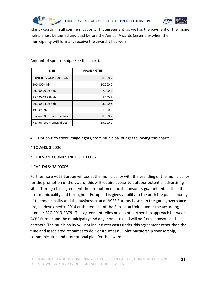



Island/Region) in all communications. This agreement, as well as the payment of the image rights, must be signed and paid before the Annual Awards Ceremony when the municipality will formally receive the award it has won.

| <b>SIZE</b>                | <b>IMAGE RIGTHS</b> |
|----------------------------|---------------------|
| CAPITAL-ISLAND +500k inh.  | 38.000€             |
| $100.000 + hb$             | 10.000€             |
| 50.000-99.999 hb           | 7.000€              |
| 25.000-49.999 hb           | 5.000€              |
| 20.000-24.999 hb           | 3.000 €             |
| 19.999-hb                  | 1.500€              |
| Region 100+ municipalities | 38.000€             |
| Region -100 municipalities | 19.000€             |

Amount of sponsorship. (See the chart).

- 4.1. Option B to cover image rights, from municipal budget following this chart:
- \* TOWNS: 3.000€
- \* CITIES AND COMMUNITIES: 10.000€
- \* CAPITALS: 38.0000€

Furthermore ACES Europe will assist the municipality with the branding of the municipality for the promotion of the award, this will require access to outdoor potential advertising sites. Through this agreement the promotion of local sponsors is guaranteed, both in the host municipality and throughout Europe, this gives viability to the both the public money of the municipality and the business plan of ACES Europe, based on the good governance project developed in 2014 at the request of the European Union under the according number EAC-2013-0379 . This agreement relies on a joint partnership approach between ACES Europe and the municipality and any monies raised will be from sponsors and partners. The municipality will not incur direct costs under this agreement other than the time and associated resources to deliver a successful joint partnership sponsorship, communication and promotional plan for the award.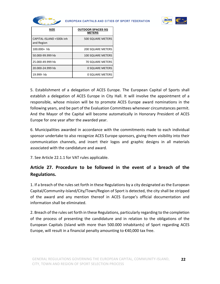



| <b>SIZE</b>                            | <b>OUTDOOR SPACES SQ</b><br><b>METERS</b> |
|----------------------------------------|-------------------------------------------|
| CAPITAL-ISLAND +500k inh<br>and Region | <b>500 SQUARE METERS</b>                  |
| 100.000+ hb                            | <b>200 SQUARE METERS</b>                  |
| 50.000-99.999 hb                       | <b>100 SQUARE METERS</b>                  |
| 25.000-49.999 hb                       | <b>70 SQUARE METERS</b>                   |
| 20.000-24.999 hb                       | <b>0 SQUARE METERS</b>                    |
| 19.999-hb                              | <b>0 SQUARE METERS</b>                    |

5. Establishment of a delegation of ACES Europe. The European Capital of Sports shall establish a delegation of ACES Europe in City Hall. It will involve the appointment of a responsible, whose mission will be to promote ACES Europe award nominations in the following years, and be part of the Evaluation Committees whenever circumstances permit. And the Mayor of the Capital will become automatically in Honorary President of ACES Europe for one year after the awarded year.

6. Municipalities awarded in accordance with the commitments made to each individual sponsor undertake to also recognize ACES Europe sponsors, giving them visibility into their communication channels, and insert their logos and graphic designs in all materials associated with the candidature and award.

7. See Article 22.1.1 for VAT rules applicable.

### Article 27. Procedure to be followed in the event of a breach of the **Regulations.**

1. If a breach of the rules set forth in these Regulations by a city designated as the European Capital/Community-Island/City/Town/Region of Sport is detected, the city shall be stripped of the award and any mention thereof in ACES Europe's official documentation and information shall be eliminated.

2. Breach of the rules set forth in these Regulations, particularly regarding to the completion of the process of presenting the candidature and in relation to the obligations of the European Capitals (Island with more than 500.000 inhabitants) of Sport regarding ACES Europe, will result in a financial penalty amounting to  $\epsilon$ 40,000 tax free.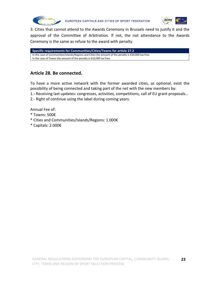



3. Cities that cannot attend to the Awards Ceremony in Brussels need to justify it and the approval of the Committee of Arbitration. If not, the not attendance to the Awards Ceremony is the same as refuse to the award with penalty.

**Specific requirements for Communities/Cities/Towns for article 27.2** In the case of Communities/Islands/Regions and Cities the amount of the penalty is €20,000 tax free. In the case of Towns the amount of the penalty is  $£10,000$  tax free.

### Article 28. Be connected.

To have a more active network with the former awarded cities, as optional, exist the possibility of being connected and taking part of the net with the new members by: 1.- Receiving last updates: congresses, activities, competitions, call of EU grant proposals... 2.- Right of continue using the label during coming years.

Annual Fee of:

- $*$  Towns: 500 $\epsilon$
- \* Cities and Communities/Islands/Regions: 1.000€
- \* Capitals: 2.000€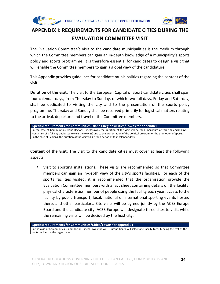



### **APPENDIX I: REQUIREMENTS FOR CANDIDATE CITIES DURING THE EVALUATION COMMITTEE VISIT**

The Evaluation Committee's visit to the candidate municipalities is the medium through which the Committee members can gain an in-depth knowledge of a municipality's sports policy and sports programme. It is therefore essential for candidates to design a visit that will enable the Committee members to gain a global view of the candidature.

This Appendix provides guidelines for candidate municipalities regarding the content of the visit. 

**Duration of the visit:** The visit to the European Capital of Sport candidate cities shall span four calendar days, from Thursday to Sunday, of which two full days, Friday and Saturday, shall be dedicated to visiting the city and to the presentation of the sports policy programme. Thursday and Sunday shall be reserved primarily for logistical matters relating to the arrival, departure and travel of the Committee members.

**Specific requirements for Communities-Islands-Regions/Cities/Towns for appendix I** In the case of Communities-Island-Regions/Cities/Towns the duration of the visit will be for a maximum of three calendar days, consisting of a full day dedicated to visit the town(s) and to the presentation of the political program for the promotion of sports. In the case of Regions, the duration of the visit will be for a period of four calendar days.

**Content of the visit:** The visit to the candidate cities must cover at least the following aspects:

Visit to sporting installations. These visits are recommended so that Committee members can gain an in-depth view of the city's sports facilities. For each of the sports facilities visited, it is recommended that the organisation provide the Evaluation Committee members with a fact sheet containing details on the facility: physical characteristics, number of people using the facility each year, access to the facility by public transport, local, national or international sporting events hosted there, and other particulars. Site visits will be agreed jointly by the ACES Europe Board and the candidate city. ACES Europe will designate three sites to visit, while the remaining visits will be decided by the host city.

**Specific requirements for Communities/Cities/Towns for appendix I** In the case of Communities-Island-Region/Cities/Towns the ACES Europe Board will select one facility to visit, being the rest of the visits decided by the organization.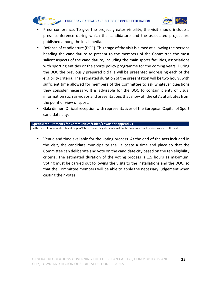



- Press conference. To give the project greater visibility, the visit should include a press conference during which the candidature and the associated project are published among the local media.
- Defense of candidature (DOC). This stage of the visit is aimed at allowing the persons heading the candidature to present to the members of the Committee the most salient aspects of the candidature, including the main sports facilities, associations with sporting entities or the sports policy programme for the coming years. During the DOC the previously prepared bid file will be presented addressing each of the eligibility criteria. The estimated duration of the presentation will be two hours, with sufficient time allowed for members of the Committee to ask whatever questions they consider necessary. It is advisable for the DOC to contain plenty of visual information such as videos and presentations that show off the city's attributes from the point of view of sport.
- Gala dinner. Official reception with representatives of the European Capital of Sport candidate city.

#### **Specific requirements for Communities/Cities/Towns for appendix I**

In the case of Communities-Island-Region/Cities/Towns the gala dinner will not be an indispensable aspect as part of the visits.

Venue and time available for the voting process. At the end of the acts included in the visit, the candidate municipality shall allocate a time and place so that the Committee can deliberate and vote on the candidate city based on the ten eligibility criteria. The estimated duration of the voting process is 1.5 hours as maximum. Voting must be carried out following the visits to the installations and the DOC, so that the Committee members will be able to apply the necessary judgement when casting their votes.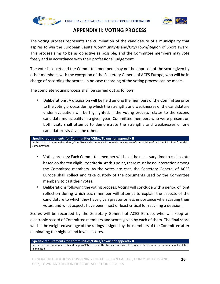

EUROPEAN CAPITALS AND CITIES OF SPORT FEDERATION



**26**

### **APPENDIX II: VOTING PROCESS**

The voting process represents the culmination of the candidature of a municipality that aspires to win the European Capital/Community-Island/City/Town/Region of Sport award. This process aims to be as objective as possible, and the Committee members may vote freely and in accordance with their professional judgement.

The vote is secret and the Committee members may not be apprised of the score given by other members, with the exception of the Secretary General of ACES Europe, who will be in charge of recording the scores. In no case recording of the voting process can be made.

The complete voting process shall be carried out as follows:

Deliberations: A discussion will be held among the members of the Committee prior to the voting process during which the strengths and weaknesses of the candidature under evaluation will be highlighted. If the voting process relates to the second candidate municipality in a given year, Committee members who were present on both visits shall attempt to demonstrate the strengths and weaknesses of one candidature vis-à-vis the other.

**Specific requirements for Communities/Cities/Towns for appendix II** In the case of Communities-Island/Cities/Towns discussions will be made only in case of competition of two municipalities from the same province.

- Voting process: Each Committee member will have the necessary time to cast a vote based on the ten eligibility criteria. At this point, there must be no interaction among the Committee members. As the votes are cast, the Secretary General of ACES Europe shall collect and take custody of the documents used by the Committee members to cast their votes.
- Deliberations following the voting process: Voting will conclude with a period of joint reflection during which each member will attempt to explain the aspects of the candidature to which they have given greater or less importance when casting their votes, and what aspects have been most or least critical for reaching a decision.

Scores will be recorded by the Secretary General of ACES Europe, who will keep an electronic record of Committee members and scores given by each of them. The final score will be the weighted average of the ratings assigned by the members of the Committee after eliminating the highest and lowest scores.

**Specific requirements for Communities/Cities/Towns for appendix II** In the case of Communities-Island-Regions/Cities/Towns the highest and lowest scores of the Committee members will not be eliminated.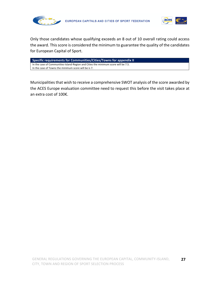![](_page_26_Picture_0.jpeg)

![](_page_26_Picture_2.jpeg)

Only those candidates whose qualifying exceeds an 8 out of 10 overall rating could access the award. This score is considered the minimum to guarantee the quality of the candidates for European Capital of Sport.

**Specific requirements for Communities/Cities/Towns for appendix II** In the case of Communities-Island-Region and Cities the minimum score will be 7.5. In the case of Towns the minimum score will be is 7.

Municipalities that wish to receive a comprehensive SWOT analysis of the score awarded by the ACES Europe evaluation committee need to request this before the visit takes place at an extra cost of 100€.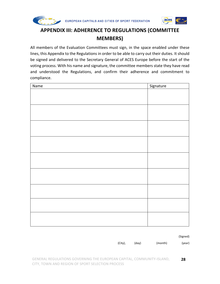![](_page_27_Picture_0.jpeg)

![](_page_27_Picture_2.jpeg)

### **APPENDIX III: ADHERENCE TO REGULATIONS (COMMITTEE MEMBERS)**

All members of the Evaluation Committees must sign, in the space enabled under these lines, this Appendix to the Regulations in order to be able to carry out their duties. It should be signed and delivered to the Secretary General of ACES Europe before the start of the voting process. With his name and signature, the committee members state they have read and understood the Regulations, and confirm their adherence and commitment to compliance. 

| Name | Signature |
|------|-----------|
|      |           |
|      |           |
|      |           |
|      |           |
|      |           |
|      |           |
|      |           |
|      |           |
|      |           |
|      |           |
|      |           |
|      |           |
|      |           |
|      |           |
|      |           |
|      |           |
|      |           |
|      |           |
|      |           |
|      |           |
|      |           |
|      |           |
|      |           |
|      |           |

(Signed)

(City), (day) (month) (year)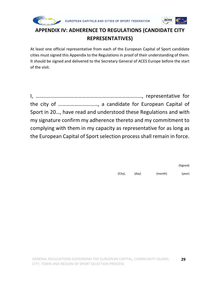![](_page_28_Picture_0.jpeg)

![](_page_28_Picture_2.jpeg)

### **APPENDIX IV: ADHERENCE TO REGULATIONS (CANDIDATE CITY REPRESENTATIVES)**

At least one official representative from each of the European Capital of Sport candidate cities must signed this Appendix to the Regulations in proof of their understanding of them. It should be signed and delivered to the Secretary General of ACES Europe before the start of the visit.

| Sport in 20, have read and understood these Regulations and with       |
|------------------------------------------------------------------------|
| my signature confirm my adherence thereto and my commitment to         |
| complying with them in my capacity as representative for as long as    |
| the European Capital of Sport selection process shall remain in force. |

|         |       |         | (Signed) |
|---------|-------|---------|----------|
| (City), | (day) | (month) | (year)   |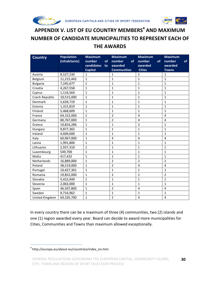![](_page_29_Picture_0.jpeg)

![](_page_29_Picture_2.jpeg)

## **APPENDIX V. LIST OF EU COUNTRY MEMBERS<sup>4</sup> AND MAXIMUM NUMBER OF CANDIDATE MUNICIPALITIES TO REPRESENT EACH OF THE AWARDS**

| <b>Country</b>        | <b>Population</b><br>(inhabitants) | <b>Maximum</b><br>number<br>of | <b>Maximum</b><br>number<br>of | <b>Maximum</b><br>number<br>of | <b>Maximum</b><br>number<br>of |
|-----------------------|------------------------------------|--------------------------------|--------------------------------|--------------------------------|--------------------------------|
|                       |                                    | candidates<br>to               | awarded                        | awarded                        | awarded                        |
|                       |                                    | <b>Capital</b>                 | <b>Communities</b>             | <b>Cities</b>                  | <b>Towns</b>                   |
| Austria               | 8,527,230                          | 1                              | 1                              | $\mathbf{1}$                   | 1                              |
| Belgium               | 11,215,442                         | $\mathbf{1}$                   | $\mathbf{1}$                   | $\mathbf{1}$                   | $\mathbf{1}$                   |
| <b>Bulgaria</b>       | 7,245,677                          | $\mathbf{1}$                   | $\mathbf{1}$                   | $\mathbf{1}$                   | 1                              |
| Croatia               | 4,267,558                          | $\mathbf{1}$                   | $\mathbf{1}$                   | $\mathbf{1}$                   | $\mathbf{1}$                   |
| Cyprus                | 1,116,564                          | $\mathbf{1}$                   | $\mathbf 1$                    | $\mathbf{1}$                   | 1                              |
| <b>Czech Republic</b> | 10,515,000                         | $\mathbf 1$                    | $\mathbf 1$                    | $\mathbf{1}$                   | $\mathbf 1$                    |
| Denmark               | 5,639,719                          | $\mathbf{1}$                   | $\mathbf{1}$                   | $\mathbf{1}$                   | 1                              |
| Estonia               | 1,315,819                          | $\mathbf{1}$                   | $\mathbf{1}$                   | $\mathbf{1}$                   | $\mathbf 1$                    |
| Finland               | 5,468,609                          | $\mathbf 1$                    | 1                              | $\mathbf{1}$                   | 1                              |
| France                | 64,152,000                         | $\mathbf{1}$                   | $\overline{2}$                 | 4                              | 4                              |
| Germany               | 80,767,000                         | $\mathbf{1}$                   | $\overline{2}$                 | 4                              | $\overline{4}$                 |
| Greece                | 10,816,286                         | $\mathbf 1$                    | $\mathbf 1$                    | $\overline{2}$                 | $\mathbf{1}$                   |
| Hungary               | 9,877,365                          | $\mathbf{1}$                   | $\mathbf{1}$                   | $\mathbf{1}$                   | 1                              |
| Ireland               | 4,609,600                          | $\mathbf{1}$                   | $\mathbf{1}$                   | $\mathbf{1}$                   | $\mathbf 1$                    |
| Italy                 | 60,967,000                         | $\mathbf 1$                    | $\overline{\mathbf{4}}$        | 4                              | 4                              |
| Latvia                | 1,991,800                          | $\mathbf{1}$                   | $\mathbf 1$                    | $\mathbf{1}$                   | 1                              |
| Lithuania             | 2,927,310                          | $\mathbf{1}$                   | 1                              | $\mathbf{1}$                   | 1                              |
| Luxembourg            | 549,700                            | $\mathbf 1$                    | $\mathbf 1$                    | $\mathbf{1}$                   | $\mathbf 1$                    |
| Malta                 | 417,432                            | $\mathbf{1}$                   | $\mathbf{1}$                   | $\mathbf{1}$                   | 1                              |
| Netherlands           | 16,889,000                         | $\mathbf{1}$                   | $\overline{2}$                 | $\overline{2}$                 | 2                              |
| Poland                | 38,519,000                         | $\mathbf 1$                    | 2                              | 4                              | 4                              |
| Portugal              | 10,427,301                         | $\mathbf{1}$                   | $\mathbf{1}$                   | $\mathbf{1}$                   | 1                              |
| Romania               | 19,852,000                         | $\mathbf{1}$                   | $\overline{2}$                 | $\overline{2}$                 | $\overline{2}$                 |
| Slovakia              | 5,415,949                          | $\mathbf 1$                    | $\mathbf 1$                    | $\mathbf{1}$                   | $\mathbf 1$                    |
| Slovenia              | 2,063,000                          | $\mathbf{1}$                   | $\mathbf 1$                    | $\mathbf{1}$                   | 1                              |
| Spain                 | 46,507,800                         | $\mathbf 1$                    | $\overline{2}$                 | 4                              | $\overline{4}$                 |
| Sweden                | 9,716,962                          | $\mathbf 1$                    | $\mathbf 1$                    | $\mathbf{1}$                   | $\mathbf{1}$                   |
| United Kingdom        | 64,105,700                         | 1                              | $\overline{2}$                 | 4                              | 4                              |

In every country there can be a maximum of three  $(4)$  communities, two  $(2)$  islands and one (1) region awarded every year. Board can decide to award more municipalities for Cities, Communities and Towns than maximum allowed exceptionally.

 $\overline{a}$ <sup>4</sup> http://europa.eu/about-eu/countries/index\_en.htm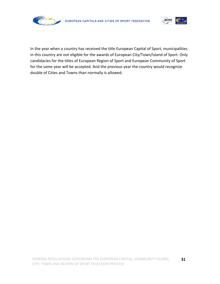![](_page_30_Picture_0.jpeg)

![](_page_30_Picture_2.jpeg)

In the year when a country has received the title European Capital of Sport, municipalities in this country are not eligible for the awards of European City/Town/Island of Sport. Only candidacies for the titles of European Region of Sport and European Community of Sport for the same year will be accepted. And the previous year the country would recognize double of Cities and Towns than normally is allowed.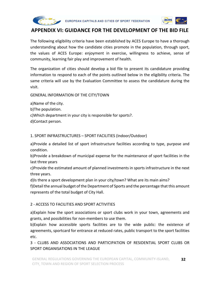![](_page_31_Picture_0.jpeg)

![](_page_31_Picture_2.jpeg)

### **APPENDIX VI: GUIDANCE FOR THE DEVELOPMENT OF THE BID FILE**

The following eligibility criteria have been established by ACES Europe to have a thorough understanding about how the candidate cities promote in the population, through sport, the values of ACES Europe: enjoyment in exercise, willingness to achieve, sense of community, learning fair play and improvement of health.

The organization of cities should develop a bid file to present its candidature providing information to respond to each of the points outlined below in the eligibility criteria. The same criteria will use by the Evaluation Committee to assess the candidature during the visit.

#### GENERAL INFORMATION OF THE CITY/TOWN

a) Name of the city.

b)The population.

c) Which department in your city is responsible for sports?.

d)Contact person.

#### 1. SPORT INFRASTRUCTURES - SPORT FACILITIES (Indoor/Outdoor)

a)Provide a detailed list of sport infrastructure facilities according to type, purpose and condition.

b)Provide a breakdown of municipal expense for the maintenance of sport facilities in the last three years

c)Provide the estimated amount of planned investments in sports infrastructure in the next three years.

d) Is there a sport development plan in your city/town? What are its main aims?

f)Detail the annual budget of the Department of Sports and the percentage that this amount represents of the total budget of City Hall.

#### 2 - ACCESS TO FACILITIES AND SPORT ACTIVITIES

a) Explain how the sport associations or sport clubs work in your town, agreements and grants, and possibilities for non-members to use them.

b)Explain how accessible sports facilities are to the wide public: the existence of agreements, sportcard for entrance at reduced rates, public transport to the sport facilities etc.

3 - CLUBS AND ASSOCIATIONS AND PARTICIPATION OF RESIDENTIAL SPORT CLUBS OR SPORT ORGANISATIONS IN THE LEAGUE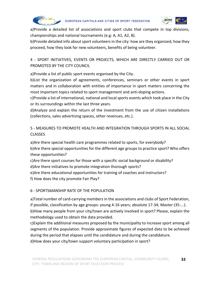![](_page_32_Picture_0.jpeg)

![](_page_32_Picture_2.jpeg)

a)Provide a detailed list of associations and sport clubs that compete in top divisions, championships and national tournaments (e.g: A, A1, A2, B).

b)Provide detailed info about sport volunteers in the city: how are they organized, how they proceed, how they look for new volunteers, benefits of being volunteer.

4 - SPORT INITIATIVES, EVENTS OR PROJECTS, WHICH ARE DIRECTLY CARRIED OUT OR PROMOTED BY THE CITY COUNCIL

a)Provide a list of public sport events organised by the City.

b) List the organization of agreements, conferences, seminars or other events in sport matters and in collaboration with entities of importance in sport matters concerning the most important topics related to sport management and anti-doping actions.

c)Provide a list of international, national and local sports events which took place in the City or its surroundings within the last three years.

d)Analyze and explain the return of the investment from the use of citizen installations (collections, sales advertising spaces, other revenues, etc.).

### 5 - MEASURES TO PROMOTE HEALTH AND INTEGRATION THROUGH SPORTS IN ALL SOCIAL CLASSES

a)Are there special health care programmes related to sports, for everybody?

b)Are there special opportunities for the different age groups to practice sport? Who offers these opportunities?

c)Are there sport courses for those with a specific social background or disability?

d) Are there initiatives to promote integration thorough sports?

e)Are there educational opportunities for training of coaches and instructors?

f) How does the city promote Fair Play?

#### **6 - SPORTSMANSHIP RATE OF THE POPULATION**

a)Total number of card-carrying members in the associations and clubs of Sport Federation, if possible, classification by age groups: young 4-16 years; absolute 17-34; Master (35-...). b)How many people from your city/town are actively involved in sport? Please, explain the methodology used to obtain the data provided.

c)Explain the additional measures proposed by the municipality to increase sport among all segments of the population. Provide approximate figures of expected data to be achieved during the period that elapses until the candidature and during the candidature. d) How does your city/town support voluntary participation in sport?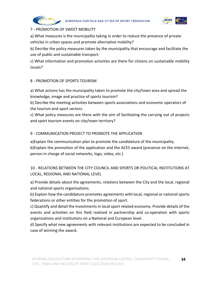![](_page_33_Picture_0.jpeg)

![](_page_33_Picture_2.jpeg)

#### **7 - PROMOTION OF SWEET MOBILITY**

a) What measures is the municipality taking in order to reduce the presence of private vehicles in urban spaces and promote alternative mobility?

b) Decribe the policy measures taken by the municipality that encourage and facilitate the use of public and sustainable transport.

c) What information and promotion activities are there for citizens on sustainable mobility issues?

#### 8 - PROMOTION OF SPORTS TOURISM

a) What actions has the municipality taken to promote the city/town area and spread the knowledge, image and practice of sports tourism?

b) Decribe the meeting activities between sports associations and economic operators of the tourism and sport sectors.

c) What policy measures are there with the aim of facilitating the carrying out of projects and sport tourism events on city/town territory?

#### 9 - COMMUNICATION PROJECT TO PROMOTE THE APPLICATION

a) Explain the communication plan to promote the candidature of the municipality. b)Explain the promotion of the application and the ACES award (presence on the Internet, person in charge of social networks, logo, video, etc.)

10 - RELATIONS BETWEEN THE CITY COUNCIL AND SPORTS OR POLITICAL INSTITUTIONS AT LOCAL, REGIONAL AND NATIONAL LEVEL

a) Provide details about the agreements, relations between the City and the local, regional and national sports organisations.

b) Explain how the candidature promotes agreements with local, regional or national sports federations or other entities for the promotion of sport.

c) Quantify and detail the investments in local sport related economy. Provide details of the events and activities on this field realized in partnership and co-operation with sports organizations and institutions on a National and European level.

d) Specify what new agreements with relevant institutions are expected to be concluded in case of winning the award.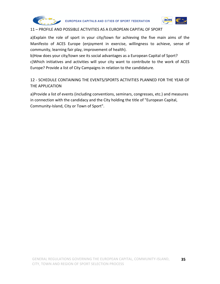![](_page_34_Picture_0.jpeg)

![](_page_34_Picture_2.jpeg)

#### 11 - PROFILE AND POSSIBLE ACTIVITIES AS A EUROPEAN CAPITAL OF SPORT

a) Explain the role of sport in your city/town for achieving the five main aims of the Manifesto of ACES Europe (enjoyment in exercise, willingness to achieve, sense of community, learning fair play, improvement of health).

b)How does your city/town see its social advantages as a European Capital of Sport? c)Which initiatives and activities will your city want to contribute to the work of ACES Europe? Provide a list of City Campaigns in relation to the candidature.

### 12 - SCHEDULE CONTAINING THE EVENTS/SPORTS ACTIVITIES PLANNED FOR THE YEAR OF THE APPLICATION

a)Provide a list of events (including conventions, seminars, congresses, etc.) and measures in connection with the candidacy and the City holding the title of "European Capital, Community-Island, City or Town of Sport".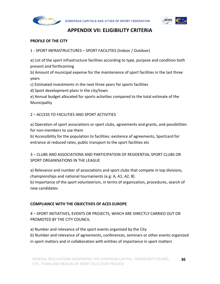![](_page_35_Picture_0.jpeg)

![](_page_35_Picture_2.jpeg)

### **APPENDIX VII: ELIGIBILITY CRITERIA**

#### **PROFILE OF THE CITY**

1 - SPORT INFRASTRUCTURES - SPORT FACILITIES (Indoor / Outdoor)

a) List of the sport infrastructure facilities according to type, purpose and condition both present and forthcoming

b) Amount of municipal expense for the maintenance of sport facilities in the last three years

c) Estimated investments in the next three years for sports facilities

d) Sport development plans in the city/town

e) Annual budget allocated for sports activities compared to the total estimate of the Municipality

#### 2 – ACCESS TO FACILITIES AND SPORT ACTIVITIES

a) Operation of sport associations or sport clubs, agreements and grants, and possibilities for non-members to use them

b) Accessibility for the population to facilities: existence of agreements, Sportcard for entrance at reduced rates, public transport to the sport facilities etc.

3 – CLUBS AND ASSOCIATIONS AND PARTICIPATION OF RESIDENTIAL SPORT CLUBS OR SPORT ORGANISATIONS IN THE LEAGUE

a) Relevance and number of associations and sport clubs that compete in top divisions, championships and national tournaments (e.g: A, A1, A2, B)

b) Importance of the sport volunteerism, in terms of organization, procedures, search of new candidates

#### **COMPLIANCE WITH THE OBJECTIVES OF ACES EUROPE**

4 - SPORT INITIATIVES, EVENTS OR PROJECTS, WHICH ARE DIRECTLY CARRIED OUT OR PROMOTED BY THE CITY COUNCIL

a) Number and relevance of the sport events organised by the City

b) Number and relevance of agreements, conferences, seminars or other events organized in sport matters and in collaboration with entities of importance in sport matters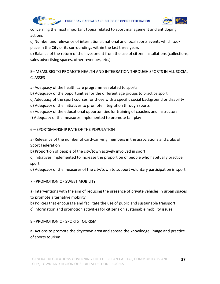![](_page_36_Picture_0.jpeg)

![](_page_36_Picture_2.jpeg)

concerning the most important topics related to sport management and antidoping actions

c) Number and relevance of international, national and local sports events which took place in the City or its surroundings within the last three years

d) Balance of the return of the investment from the use of citizen installations (collections, sales advertising spaces, other revenues, etc.)

### 5– MEASURES TO PROMOTE HEALTH AND INTEGRATION THROUGH SPORTS IN ALL SOCIAL CLASSES

a) Adequacy of the health care programmes related to sports

b) Adequacy of the opportunities for the different age groups to practice sport

- c) Adequacy of the sport courses for those with a specific social background or disability
- d) Adequacy of the initiatives to promote integration through sports
- e) Adequacy of the educational opportunities for training of coaches and instructors
- f) Adequacy of the measures implemented to promote fair play

### 6 – SPORTSMANSHIP RATE OF THE POPULATION

a) Relevance of the number of card-carrying members in the associations and clubs of Sport Federation

- b) Proportion of people of the city/town actively involved in sport
- c) Initiatives implemented to increase the proportion of people who habitually practice sport

d) Adequacy of the measures of the city/town to support voluntary participation in sport

### 7 - PROMOTION OF SWEET MOBILITY

a) Interventions with the aim of reducing the presence of private vehicles in urban spaces to promote alternative mobility

- b) Policies that encourage and facilitate the use of public and sustainable transport
- c) Information and promotion activities for citizens on sustainable mobility issues

### 8 - PROMOTION OF SPORTS TOURISM

a) Actions to promote the city/town area and spread the knowledge, image and practice of sports tourism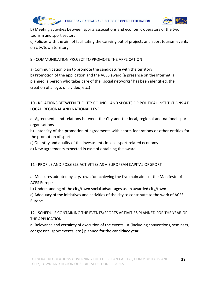![](_page_37_Picture_0.jpeg)

![](_page_37_Picture_2.jpeg)

b) Meeting activities between sports associations and economic operators of the two tourism and sport sectors

c) Policies with the aim of facilitating the carrying out of projects and sport tourism events on city/town territory

9 - COMMUNICATION PROJECT TO PROMOTE THE APPLICATION

a) Communication plan to promote the candidature with the territory b) Promotion of the application and the ACES award (a presence on the Internet is planned, a person who takes care of the "social networks" has been identified, the creation of a logo, of a video, etc.)

10 - RELATIONS BETWEEN THE CITY COUNCIL AND SPORTS OR POLITICAL INSTITUTIONS AT LOCAL, REGIONAL AND NATIONAL LEVEL

a) Agreements and relations between the City and the local, regional and national sports organisations

b) Intensity of the promotion of agreements with sports federations or other entities for the promotion of sport

c) Quantity and quality of the investments in local sport related economy

d) New agreements expected in case of obtaining the award

11 - PROFILE AND POSSIBLE ACTIVITIES AS A FUROPEAN CAPITAL OF SPORT

a) Measures adopted by city/town for achieving the five main aims of the Manifesto of **ACES** Europe

b) Understanding of the city/town social advantages as an awarded city/town

c) Adequacy of the initiatives and activities of the city to contribute to the work of ACES Europe

12 - SCHEDULE CONTAINING THE EVENTS/SPORTS ACTIVITIES PLANNED FOR THE YEAR OF THE APPLICATION

a) Relevance and certainty of execution of the events list (including conventions, seminars, congresses, sport events, etc.) planned for the candidacy year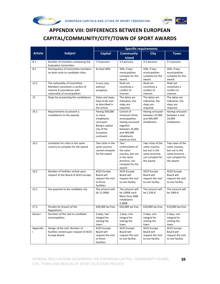![](_page_38_Picture_0.jpeg)

![](_page_38_Picture_2.jpeg)

### **APPENDIX VIII: DIFFERENCES BETWEEN EUROPEAN CAPITAL/COMMUNITY/CITY/TOWN OF SPORT AWARDS**

|                |                                                                  | <b>Specific requirements</b> |                             |                             |                             |
|----------------|------------------------------------------------------------------|------------------------------|-----------------------------|-----------------------------|-----------------------------|
| <b>Article</b> | <b>Subject</b>                                                   | <b>Capital</b>               | Community-                  | <b>City</b>                 | <b>Town</b>                 |
|                |                                                                  |                              | <b>Island</b>               |                             |                             |
| 8.1            | Number of members composing the                                  | 7-9 persons.                 | 3-5 persons.                | 3-5 persons.                | 3-5 persons.                |
|                | <b>Evaluation Committee.</b>                                     |                              |                             |                             |                             |
| 8.2            | Participation of Committee members                               | At least 40%.                | 50%, if two                 | 50%, if two                 | 50%, if two                 |
|                | on both visits to candidate cities.                              |                              | municipalities              | municipalities              | municipalities              |
|                |                                                                  |                              | compete for the             | compete for the             | compete for the             |
|                |                                                                  |                              | award.                      | award.                      | award.                      |
| 12.5           | The nationality of Committee                                     | In any case,                 | Shall not                   | Shall not                   | Shall not                   |
|                | Members constitute a conflict of<br>interest if coincidence with | without                      | constitute a<br>conflict of | constitute a<br>conflict of | constitute a<br>conflict of |
|                | nationality of municipalities.                                   | exception.                   | interest.                   | interest.                   | interest.                   |
| 15             | Steps for presenting the candidature                             | Dates and steps              | The dates are               | The dates are               | The dates are               |
|                |                                                                  | have to be met               | indicative, the             | indicative, the             | indicative, the             |
|                |                                                                  | as described in              | steps are                   | steps are                   | steps are                   |
|                |                                                                  | the article.                 | required.                   | required.                   | required.                   |
| 16.1           | Requirements to present a                                        | <b>Having 500,000</b>        | Consist of                  | Having censused             | Having censused             |
|                | candidature to the awards.                                       | or more                      | minimum three               | between 25,000              | between 1 and               |
|                |                                                                  | inhabitants                  | municipalities.             | and 499,999                 | 24,999                      |
|                |                                                                  | censused.                    | Having censused             | inhabitants.                | inhabitants.                |
|                |                                                                  | Being a capital              | together                    |                             |                             |
|                |                                                                  | city of the                  | between 25,000              |                             |                             |
|                |                                                                  | European<br>continent.       | and 499,999<br>inhabitants. |                             |                             |
|                |                                                                  |                              | Island no limit.            |                             |                             |
| 16.2           | Limitation for cities in the same                                | Two cities in the            | Two                         | Two cities of the           | Two town of the             |
|                | country to compete for the award.                                | same country                 | communities of              | same country,               | same country,               |
|                |                                                                  | cannot compete               | the same                    | but not in the              | but not in the              |
|                |                                                                  | for the award                | country, but not            | same province,              | same province,              |
|                |                                                                  |                              | in the same                 | can compete for             | can compete for             |
|                |                                                                  |                              | province, can               | the award.                  | the award.                  |
|                |                                                                  |                              | compete for the<br>award.   |                             |                             |
| 18.2           | Number of facilities visited upon                                | <b>ACES Europe</b>           | <b>ACES Europe</b>          | <b>ACES Europe</b>          | <b>ACES Europe</b>          |
|                | request of the Board of ACES Europe.                             | Board will                   | Board will                  | Board will                  | Board will                  |
|                |                                                                  | request the visit            | request the visit           | request the visit           | request the visit           |
|                |                                                                  | to three                     | to one facility.            | to one facility.            | to one facility.            |
|                |                                                                  | facilities.                  |                             |                             |                             |
| 22.1           | Fee payment to be candidate city.                                | The amount will              | The amount will             | The amount will             | The amount will             |
|                |                                                                  | be 12.000€.                  | be 1000€ each               | be 2.350 €.                 | be 1000 €.                  |
|                |                                                                  |                              | More than 500k              |                             |                             |
|                |                                                                  |                              | inhabitants<br>5.000€       |                             |                             |
| 27.2           | Penalty for breach of the                                        | €40,000 tax free.            | €20,000 tax free.           | €20,000 tax free.           | €10,000 tax free.           |
|                | Regulations.                                                     |                              |                             |                             |                             |
| Anexo I        | Duration of the visit to candidate                               | 4 days, two                  | 3 days, one                 | 3 days, one                 | 2 days, one                 |
|                | municipalities.                                                  | integral for                 | integral for                | integral for                | integral for                |
|                |                                                                  | visiting the                 | visiting the                | visiting the                | visiting the                |
|                |                                                                  | town.                        | town.                       | town.                       | town.                       |
| Appendix       | Design of the visit. Number of                                   | <b>ACES Europe</b>           | <b>ACES Europe</b>          | <b>ACES Europe</b>          | <b>ACES Europe</b>          |
|                | facilities visited upon request of ACES                          | Board will                   | Board will                  | Board will                  | Board will                  |
|                | Europe Board.                                                    | request the visit            | request the visit           | request the visit           | request the visit           |
|                |                                                                  | to three<br>facilities.      | to one facility.            | to one facility.            | to one facility.            |
|                |                                                                  |                              |                             |                             |                             |